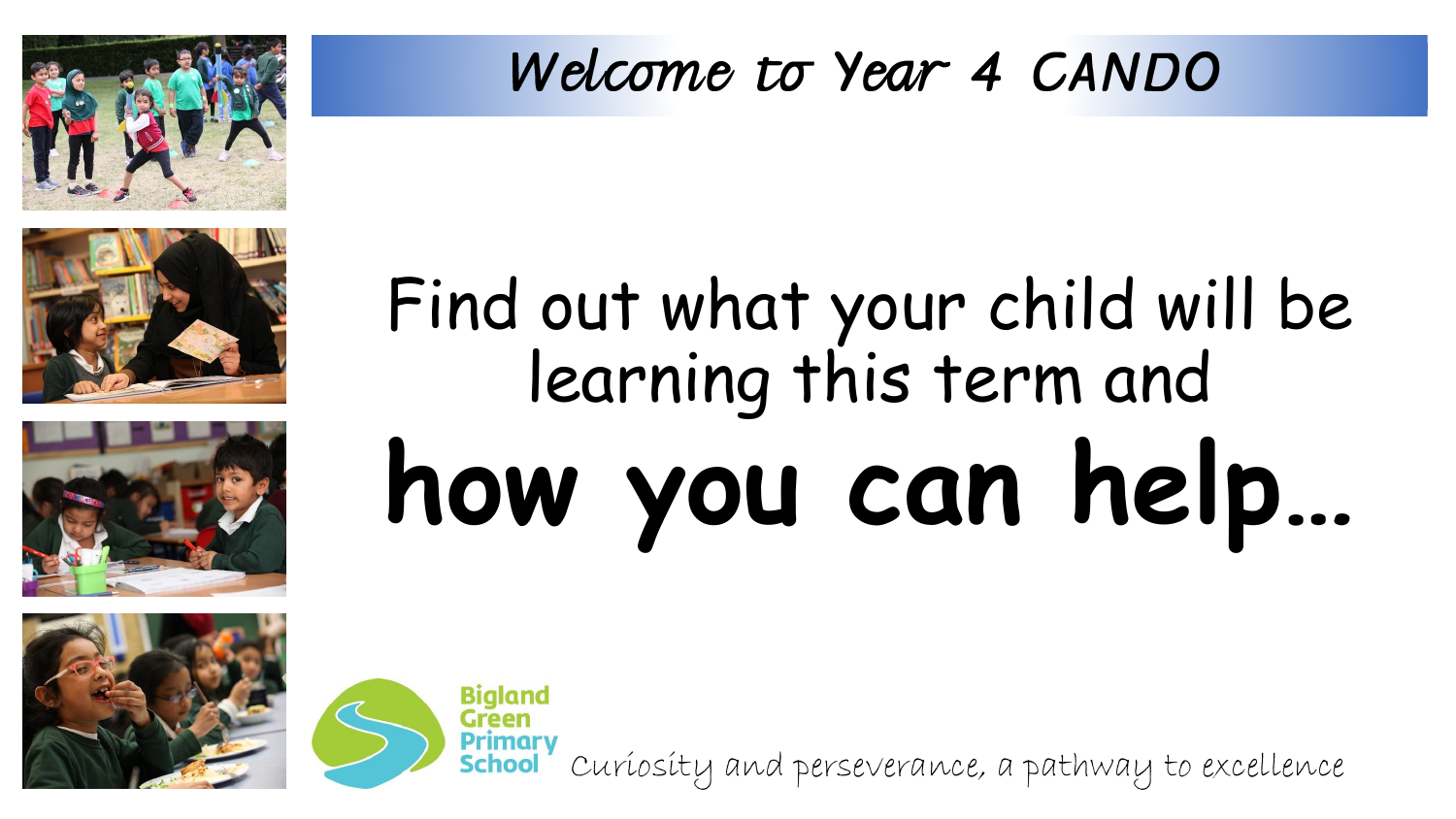

## **how you can help…** Find out what your child will be learning this term and



Curiosity and perseverance, a pathway to excellence





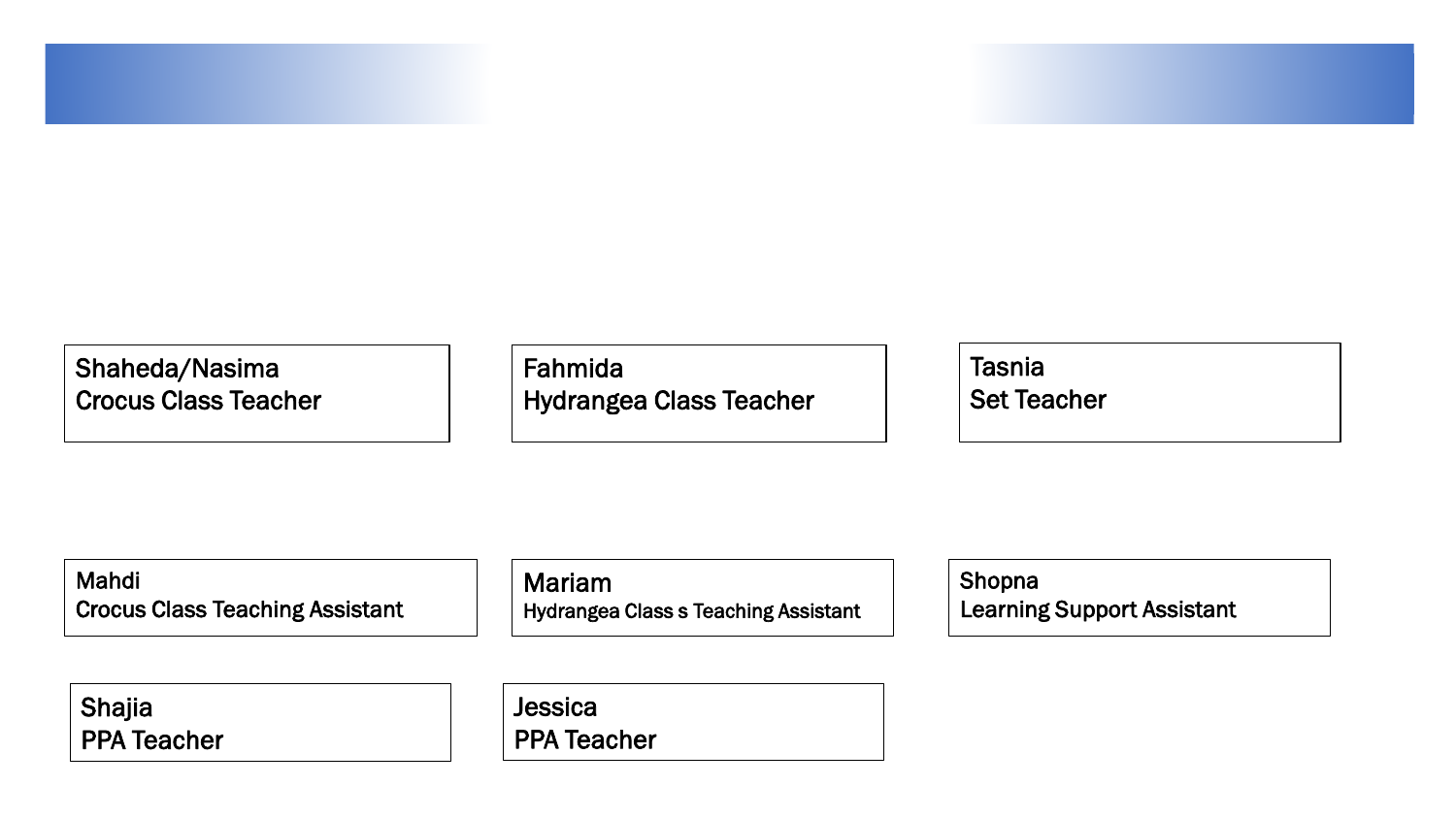Shaheda/Nasima Crocus Class Teacher

Fahmida Hydrangea Class Teacher **Tasnia** Set Teacher

Mahdi Crocus Class Teaching Assistant

Mariam Hydrangea Class s Teaching Assistant Shopna Learning Support Assistant

Shajia PPA Teacher **Jessica** PPA Teacher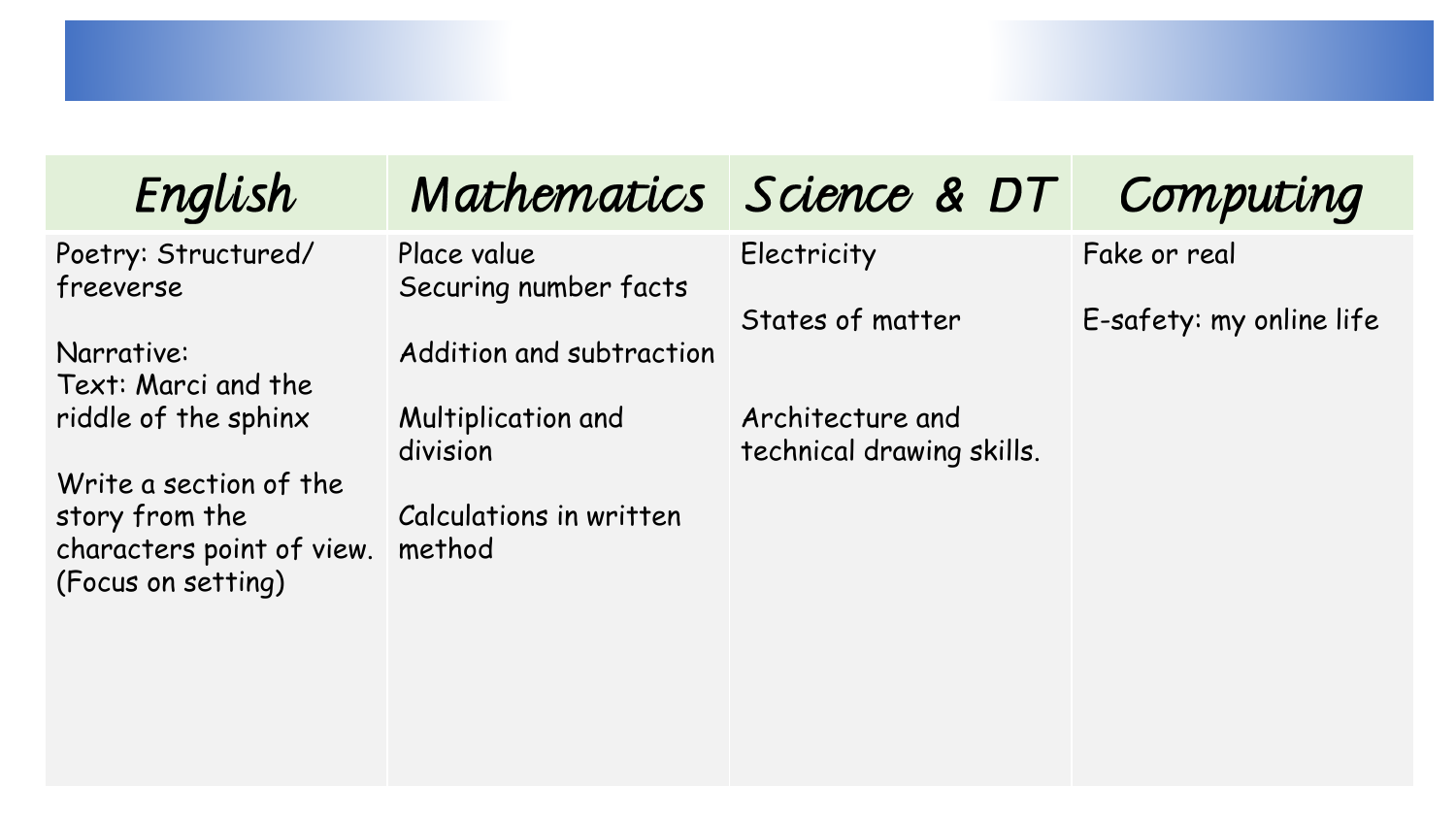| English                                                           |                                      | Mathematics Science & DT                      | Computing                |
|-------------------------------------------------------------------|--------------------------------------|-----------------------------------------------|--------------------------|
| Poetry: Structured/<br>freeverse                                  | Place value<br>Securing number facts | Electricity                                   | Fake or real             |
| Narrative:<br>Text: Marci and the                                 | Addition and subtraction             | States of matter                              | E-safety: my online life |
| riddle of the sphinx<br>Write a section of the                    | Multiplication and<br>division       | Architecture and<br>technical drawing skills. |                          |
| story from the<br>characters point of view.<br>(Focus on setting) | Calculations in written<br>method    |                                               |                          |
|                                                                   |                                      |                                               |                          |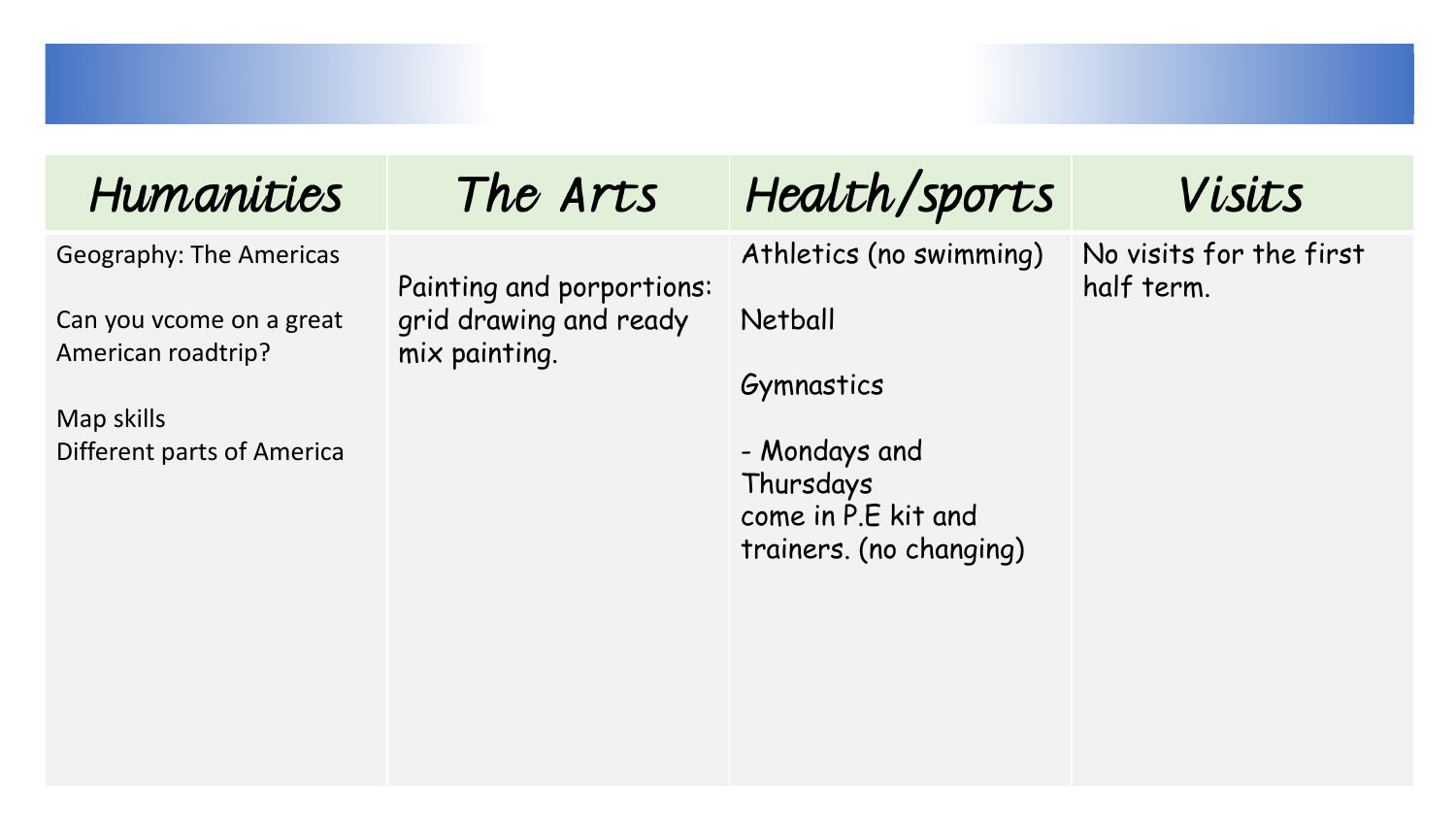| Humanities                                                                                                                   | The Arts                                                             | Health/sports                                                                                                                           | Visits                                |
|------------------------------------------------------------------------------------------------------------------------------|----------------------------------------------------------------------|-----------------------------------------------------------------------------------------------------------------------------------------|---------------------------------------|
| <b>Geography: The Americas</b><br>Can you vcome on a great<br>American roadtrip?<br>Map skills<br>Different parts of America | Painting and porportions:<br>grid drawing and ready<br>mix painting. | Athletics (no swimming)<br><b>Netball</b><br>Gymnastics<br>- Mondays and<br>Thursdays<br>come in P.E kit and<br>trainers. (no changing) | No visits for the first<br>half term. |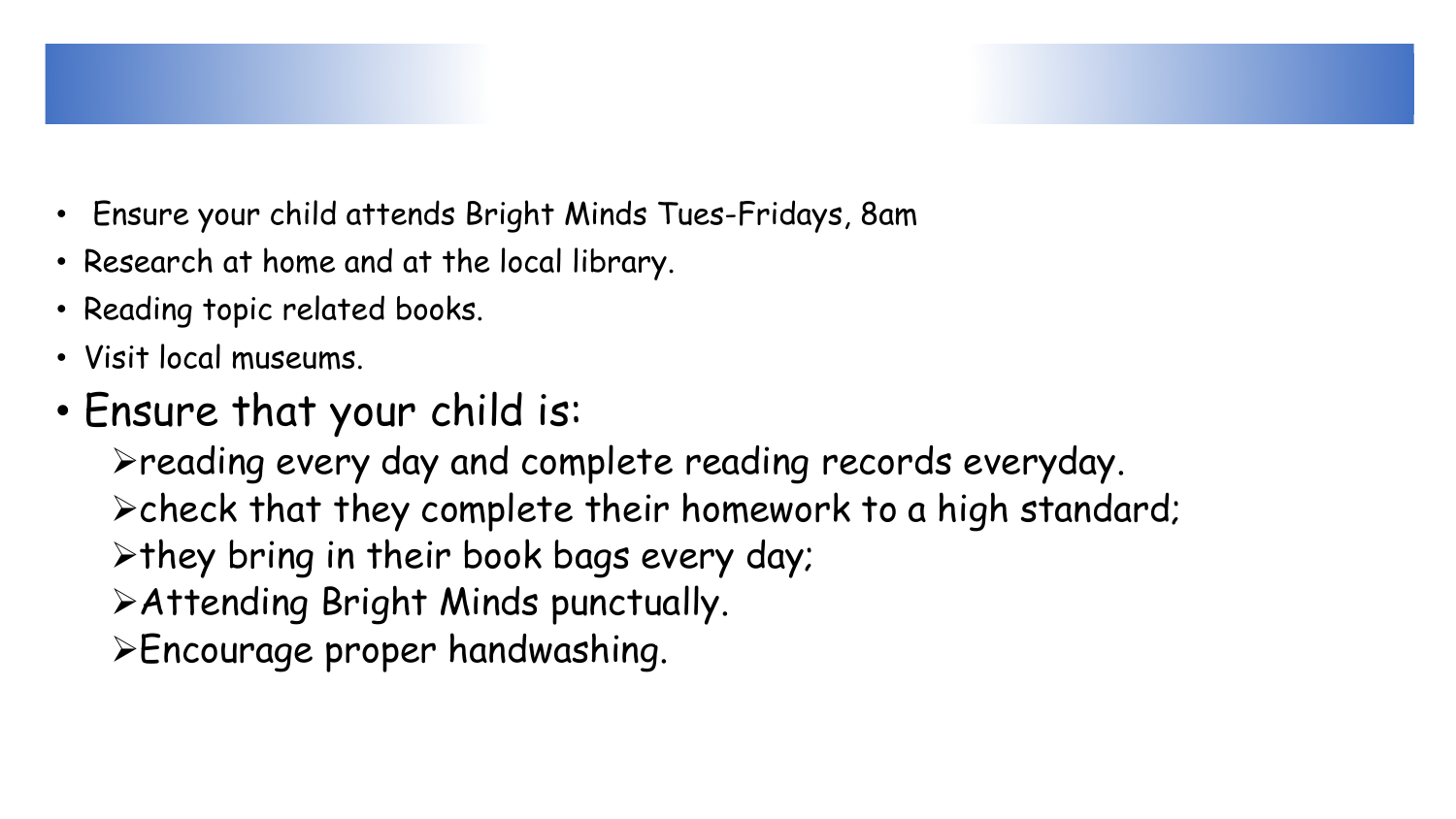

- Ensure your child attends Bright Minds Tues-Fridays, 8am
- Research at home and at the local library.
- Reading topic related books.
- Visit local museums.
- Ensure that your child is:

reading every day and complete reading records everyday.  $\triangleright$  check that they complete their homework to a high standard;  $\triangleright$  they bring in their book bags every day; Attending Bright Minds punctually. Encourage proper handwashing.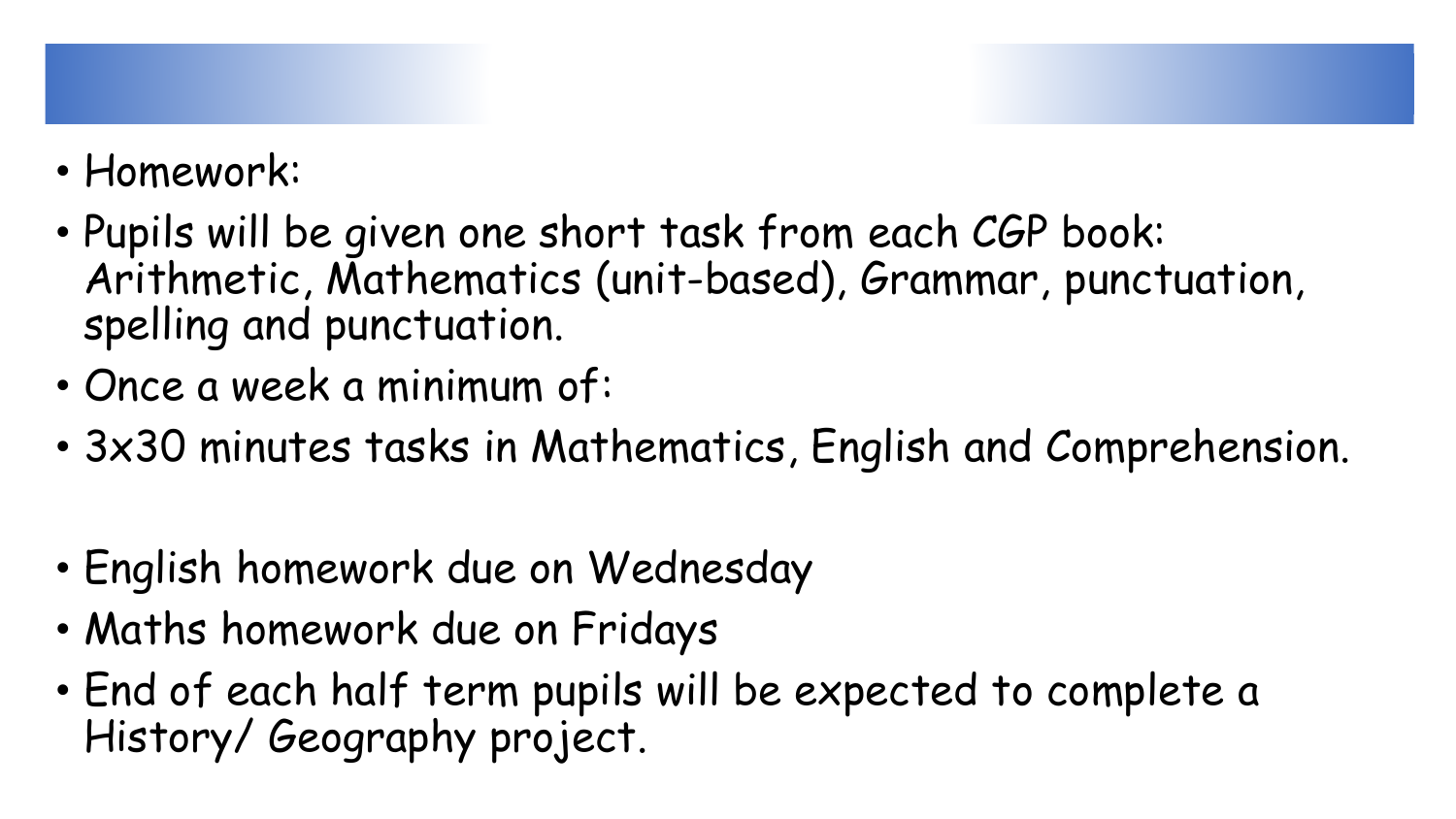

- Pupils will be given one short task from each CGP book: Arithmetic, Mathematics (unit-based), Grammar, punctuation, spelling and punctuation.
- Once a week a minimum of:
- 3x30 minutes tasks in Mathematics, English and Comprehension.
- English homework due on Wednesday
- Maths homework due on Fridays
- End of each half term pupils will be expected to complete a History/ Geography project.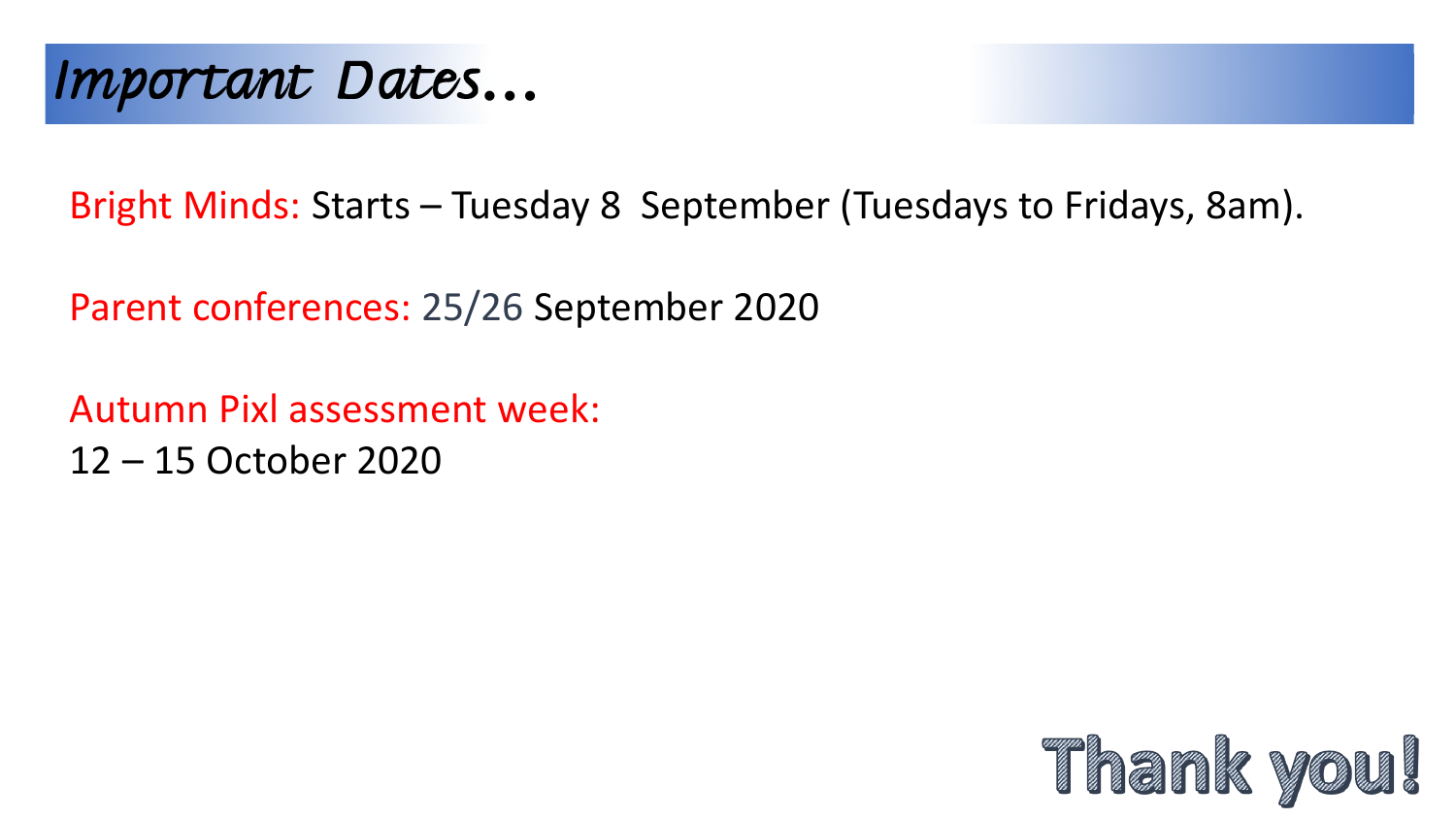

Bright Minds: Starts – Tuesday 8 September (Tuesdays to Fridays, 8am).

Parent conferences: 25/26 September 2020

Autumn Pixl assessment week: 12 – 15 October 2020

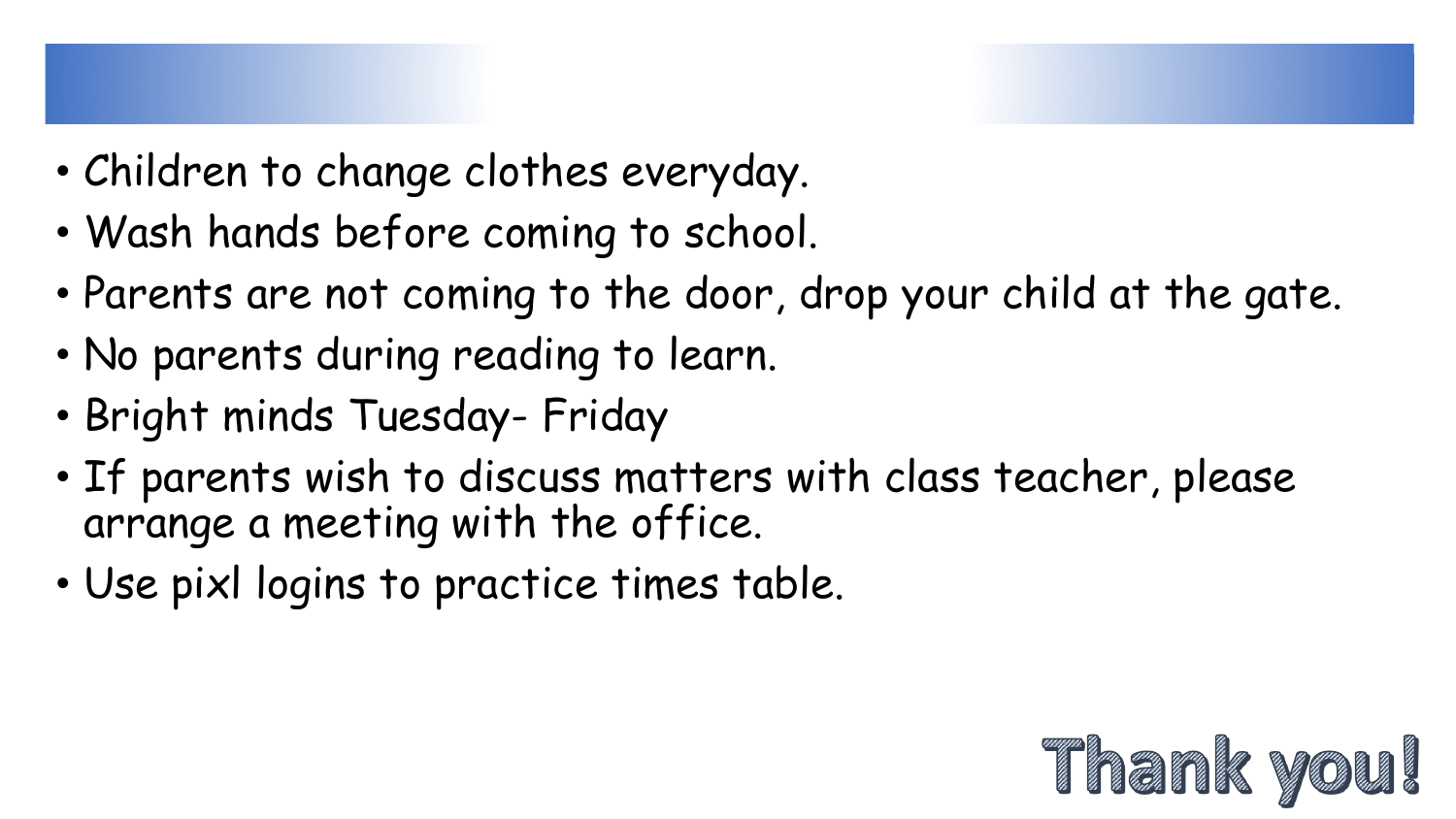- Children to change clothes everyday.
- Wash hands before coming to school.
- Parents are not coming to the door, drop your child at the gate.
- No parents during reading to learn.
- Bright minds Tuesday- Friday
- If parents wish to discuss matters with class teacher, please arrange a meeting with the office.
- Use pixl logins to practice times table.

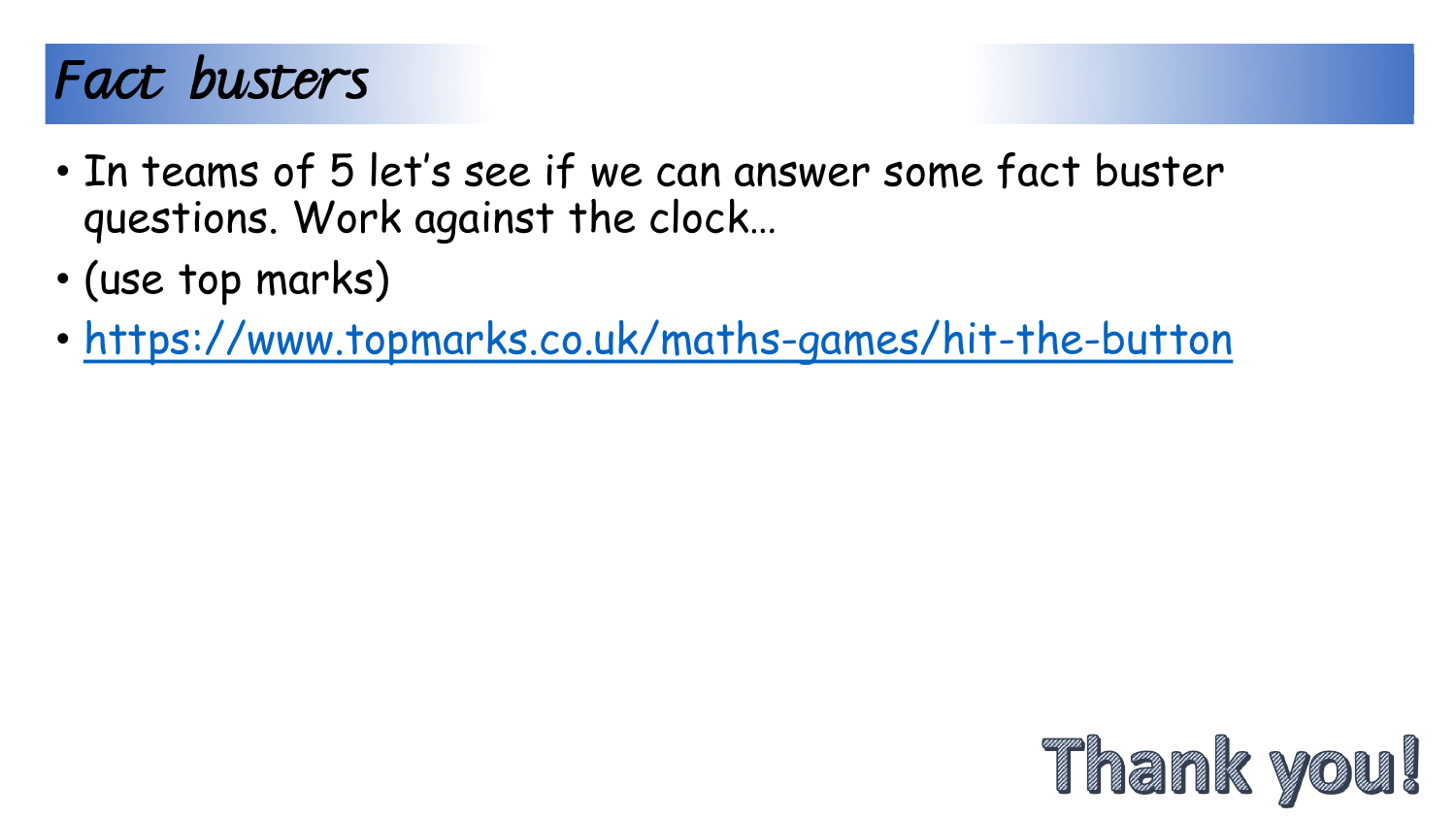## Fact busters

- In teams of 5 let's see if we can answer some fact buster questions. Work against the clock…
- (use top marks)
- <https://www.topmarks.co.uk/maths-games/hit-the-button>